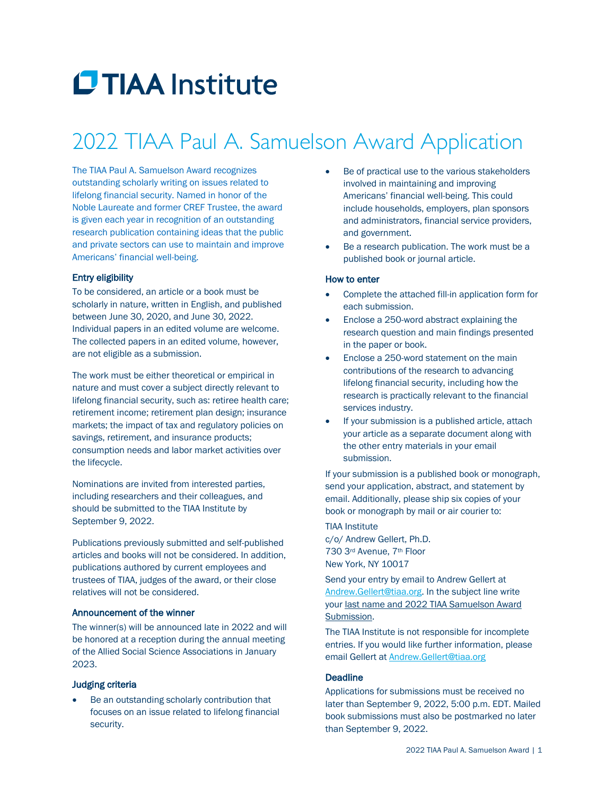# **CTIAA** Institute

### 2022 TIAA Paul A. Samuelson Award Application

The TIAA Paul A. Samuelson Award recognizes outstanding scholarly writing on issues related to lifelong financial security. Named in honor of the Noble Laureate and former CREF Trustee, the award is given each year in recognition of an outstanding research publication containing ideas that the public and private sectors can use to maintain and improve Americans' financial well-being.

#### Entry eligibility

To be considered, an article or a book must be scholarly in nature, written in English, and published between June 30, 2020, and June 30, 2022. Individual papers in an edited volume are welcome. The collected papers in an edited volume, however, are not eligible as a submission.

The work must be either theoretical or empirical in nature and must cover a subject directly relevant to lifelong financial security, such as: retiree health care; retirement income; retirement plan design; insurance markets; the impact of tax and regulatory policies on savings, retirement, and insurance products; consumption needs and labor market activities over the lifecycle.

Nominations are invited from interested parties, including researchers and their colleagues, and should be submitted to the TIAA Institute by September 9, 2022.

Publications previously submitted and self-published articles and books will not be considered. In addition, publications authored by current employees and trustees of TIAA, judges of the award, or their close relatives will not be considered.

### Announcement of the winner

The winner(s) will be announced late in 2022 and will be honored at a reception during the annual meeting of the Allied Social Science Associations in January 2023.

### Judging criteria

Be an outstanding scholarly contribution that focuses on an issue related to lifelong financial security.

- Be of practical use to the various stakeholders involved in maintaining and improving Americans' financial well-being. This could include households, employers, plan sponsors and administrators, financial service providers, and government.
- Be a research publication. The work must be a published book or journal article.

#### How to enter

- Complete the attached fill-in application form for each submission.
- Enclose a 250-word abstract explaining the research question and main findings presented in the paper or book.
- Enclose a 250-word statement on the main contributions of the research to advancing lifelong financial security, including how the research is practically relevant to the financial services industry.
- If your submission is a published article, attach your article as a separate document along with the other entry materials in your email submission.

If your submission is a published book or monograph, send your application, abstract, and statement by email. Additionally, please ship six copies of your book or monograph by mail or air courier to:

TIAA Institute c/o/ Andrew Gellert, Ph.D. 730 3rd Avenue, 7th Floor New York, NY 10017

Send your entry by email to Andrew Gellert at [Andrew.Gellert@tiaa.org.](mailto:Andrew.Gellert@tiaa.org) In the subject line write your last name and 2022 TIAA Samuelson Award Submission.

The TIAA Institute is not responsible for incomplete entries. If you would like further information, please email Gellert at [Andrew.Gellert@tiaa.org](mailto:Andrew.Gellert@tiaa.org)

### **Deadline**

Applications for submissions must be received no later than September 9, 2022, 5:00 p.m. EDT. Mailed book submissions must also be postmarked no later than September 9, 2022.